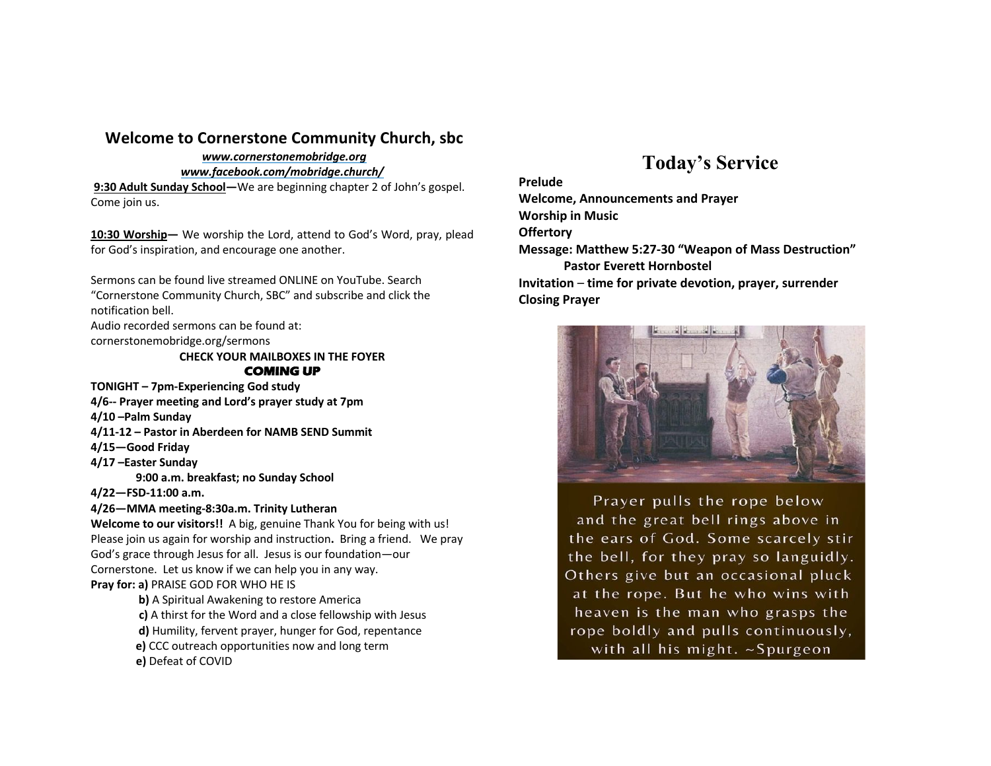### **Welcome to Cornerstone Community Church, sbc**

### *www.cornerstonemobridge.org*

*www.facebook.com/mobridge.church/*

**9:30 Adult Sunday School—**We are beginning chapter 2 of John's gospel. Come join us.

**10:30 Worship—** We worship the Lord, attend to God's Word, pray, plead for God's inspiration, and encourage one another.

Sermons can be found live streamed ONLINE on YouTube. Search "Cornerstone Community Church, SBC" and subscribe and click the notification bell.

Audio recorded sermons can be found at:

cornerstonemobridge.org/sermons

**CHECK YOUR MAILBOXES IN THE FOYER COMING UP** 

**TONIGHT – 7pm-Experiencing God study**

**4/6-- Prayer meeting and Lord's prayer study at 7pm**

**4/10 –Palm Sunday**

- **4/11-12 – Pastor in Aberdeen for NAMB SEND Summit**
- **4/15—Good Friday**
- **4/17 –Easter Sunday**
	- **9:00 a.m. breakfast; no Sunday School**
- **4/22—FSD-11:00 a.m.**
- **4/26—MMA meeting-8:30a.m. Trinity Lutheran**

**Welcome to our visitors!!** A big, genuine Thank You for being with us! Please join us again for worship and instruction**.** Bring a friend. We pray God's grace through Jesus for all. Jesus is our foundation—our Cornerstone. Let us know if we can help you in any way. **Pray for: a)** PRAISE GOD FOR WHO HE IS

**b)** A Spiritual Awakening to restore America **c)** A thirst for the Word and a close fellowship with Jesus **d)** Humility, fervent prayer, hunger for God, repentance **e)** CCC outreach opportunities now and long term **e)** Defeat of COVID

# **Today's Service**

#### **Prelude**

**Welcome, Announcements and Prayer Worship in Music Offertory Message: Matthew 5:27-30 "Weapon of Mass Destruction" Pastor Everett Hornbostel Invitation** – **time for private devotion, prayer, surrender Closing Prayer**



Prayer pulls the rope below and the great bell rings above in the ears of God. Some scarcely stir the bell, for they pray so languidly. Others give but an occasional pluck at the rope. But he who wins with heaven is the man who grasps the rope boldly and pulls continuously, with all his might. ~Spurgeon